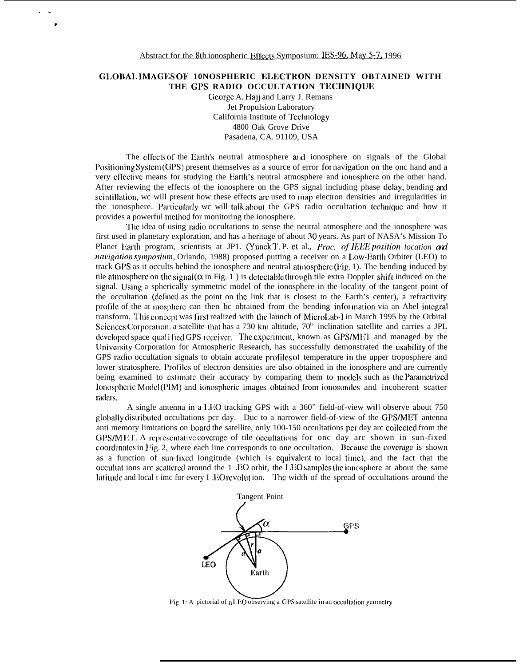.

## **GLOBALIMAGES OF 10NOSPHERIC ELECTRON DENSITY OBTAINED WITH** THE GPS RADIO OCCULTATION TECHNIQUE

George A. Hajj and Larry J. Remans Jet Propulsion Laboratory California Institute of Technology 4800 Oak Grove Drive Pasadena, CA. 91109, USA

The cflects of the Earth's neutral atmosphere and ionosphere on signals of the Global Positioning System (GPS) present themselves as a source of error for navigation on the onc hand and a very cffective means for studying the Earth's neutral atmosphere and ionosphere on the other hand. After reviewing the effects of the ionosphere on the GPS signal including phase delay, bending and scintillation, wc will present how these effects arc used to map electron densities and irregularities in the ionosphere. Particularly wc will talk about the GPS radio occultation technique and how it provides a powerful method for monitoring the ionosphere.

The idea of using radio occultations to sense the neutral atmosphere and the ionosphere was first used in planetary exploration, and has a heritage of about 30 years. As part of NASA's Mission To Planet Earth program, scientists at JP1. (Yunck T.P. et al., *Proc. of IEEE position location and navigation symposium*, Orlando, 1988) proposed putting a receiver on a Low-Earth Orbiter (LEO) to track GPS as it occults behind the ionosphere and neutral atmosphere (Fig. 1). The bending induced by tile atmosphere on the signal ( $\alpha$  in Fig. 1) is detectable through tile extra Doppler shift induced on the signal. Using a spherically symmetric model of the ionosphere in the locality of the tangent point of the occultation (defined as the point on the link that is closest to the Earth's center), a refractivity profile of the at mosphere can then be obtained from the bending information via an Abel integral transform. This concept was first realized with the launch of MicroLab-I in March 1995 by the Orbital Sciences Corporation, a satellite that has a 730 km altitude,  $70<sup>1</sup>$  inclination satellite and carries a JPL developed space quali fied GPS receiver. The experiment, known as GPS/MET and managed by the LJnivcrsity Corporation for Atmospheric Research, has successfully demonstrated the usabiiity of the GPS radio occultation signals to obtain accurate profiles of temperature in the upper troposphere and lower stratosphere. Profiles of electron densities are also obtained in the ionosphere and are currently being examined to estimate their accuracy by comparing them to models such as the Parametrized lonospheric Model (PIM) and ionospheric images obtained from ionosondes and incoherent scatter radars.

A single antenna in a I.HO tracking GPS with a 360" field-of-view wiil observe about 750 globally distributed occultations pcr day. Duc to a narrower field-of-view of the GPS/MET antenna anti memory limitations on board the satellite, only 100-150 occultations per day arc collected from the  $GPS/M I T$ . A representative coverage of tile occultations for onc day arc shown in sun-fixed coordinates in Fig. 2, where each line corresponds to one occultation. Because the coverage is shown as a function of sun-fixed longitude (which is equivalent to local time), and the fact that the occultat ions arc scattered around the  $1 \text{ }$ EO orbit, the LEO samples the ionosphere at about the same latitude and local t imc for every I .EO revolut ion. The width of the spread of occultations around the